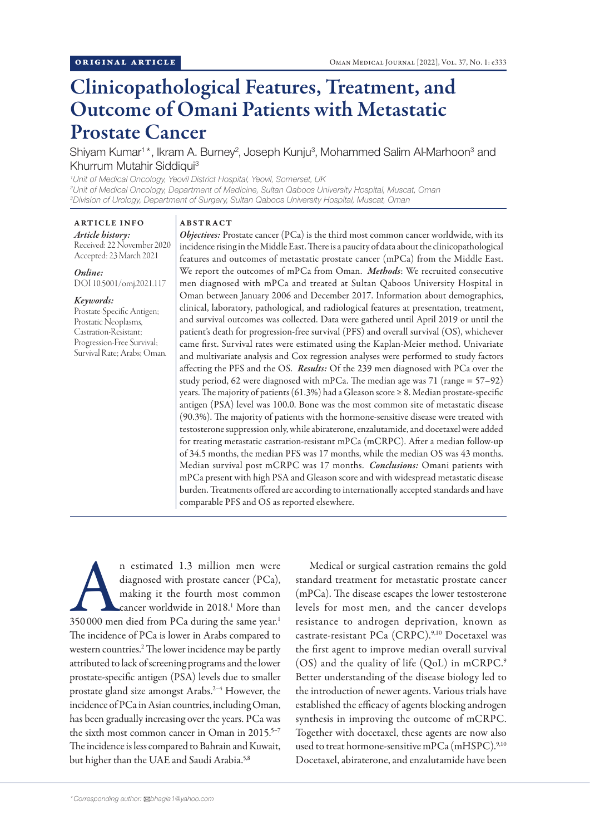# Clinicopathological Features, Treatment, and Outcome of Omani Patients with Metastatic Prostate Cancer

Shiyam Kumar<sup>1\*</sup>, Ikram A. Burney<sup>2</sup>, Joseph Kunju<sup>3</sup>, Mohammed Salim Al-Marhoon<sup>3</sup> and Khurrum Mutahir Siddiqui3

*1 Unit of Medical Oncology, Yeovil District Hospital, Yeovil, Somerset, UK 2 Unit of Medical Oncology, Department of Medicine, Sultan Qaboos University Hospital, Muscat, Oman 3 Division of Urology, Department of Surgery, Sultan Qaboos University Hospital, Muscat, Oman*

## ARTICLE INFO

*Article history:* Received: 22 November 2020 Accepted: 23 March 2021

*Online:* DOI 10.5001/omj.2021.117

#### *Keywords:*

Prostate-Specific Antigen; Prostatic Neoplasms, Castration-Resistant; Progression-Free Survival; Survival Rate; Arabs; Oman.

## ABSTRACT

*Objectives:* Prostate cancer (PCa) is the third most common cancer worldwide, with its incidence rising in the Middle East. There is a paucity of data about the clinicopathological features and outcomes of metastatic prostate cancer (mPCa) from the Middle East. We report the outcomes of mPCa from Oman. *Methods*: We recruited consecutive men diagnosed with mPCa and treated at Sultan Qaboos University Hospital in Oman between January 2006 and December 2017. Information about demographics, clinical, laboratory, pathological, and radiological features at presentation, treatment, and survival outcomes was collected. Data were gathered until April 2019 or until the patient's death for progression-free survival (PFS) and overall survival (OS), whichever came first. Survival rates were estimated using the Kaplan-Meier method. Univariate and multivariate analysis and Cox regression analyses were performed to study factors affecting the PFS and the OS. *Results:* Of the 239 men diagnosed with PCa over the study period, 62 were diagnosed with mPCa. The median age was 71 (range = 57–92) years. The majority of patients (61.3%) had a Gleason score  $\geq 8$ . Median prostate-specific antigen (PSA) level was 100.0. Bone was the most common site of metastatic disease (90.3%). The majority of patients with the hormone-sensitive disease were treated with testosterone suppression only, while abiraterone, enzalutamide, and docetaxel were added for treating metastatic castration-resistant mPCa (mCRPC). After a median follow-up of 34.5 months, the median PFS was 17 months, while the median OS was 43 months. Median survival post mCRPC was 17 months. *Conclusions:* Omani patients with mPCa present with high PSA and Gleason score and with widespread metastatic disease burden. Treatments offered are according to internationally accepted standards and have comparable PFS and OS as reported elsewhere.

n estimated 1.3 million men were diagnosed with prostate cancer (PCa), making it the fourth most common cancer worldwide in 2018.<sup>1</sup> More than 350 000 men died from PCa during the same year.<sup>1</sup> diagnosed with prostate cancer (PCa), making it the fourth most common cancer worldwide in 2018.1 More than The incidence of PCa is lower in Arabs compared to western countries.2 The lower incidence may be partly attributed to lack of screening programs and the lower prostate-specific antigen (PSA) levels due to smaller prostate gland size amongst Arabs.2–4 However, the incidence of PCa in Asian countries, including Oman, has been gradually increasing over the years. PCa was the sixth most common cancer in Oman in 2015.<sup>5-7</sup> The incidence is less compared to Bahrain and Kuwait, but higher than the UAE and Saudi Arabia.<sup>5,8</sup>

Medical or surgical castration remains the gold standard treatment for metastatic prostate cancer (mPCa). The disease escapes the lower testosterone levels for most men, and the cancer develops resistance to androgen deprivation, known as castrate-resistant PCa (CRPC).9,10 Docetaxel was the first agent to improve median overall survival (OS) and the quality of life (QoL) in mCRPC.9 Better understanding of the disease biology led to the introduction of newer agents. Various trials have established the efficacy of agents blocking androgen synthesis in improving the outcome of mCRPC. Together with docetaxel, these agents are now also used to treat hormone-sensitive mPCa (mHSPC).<sup>9,10</sup> Docetaxel, abiraterone, and enzalutamide have been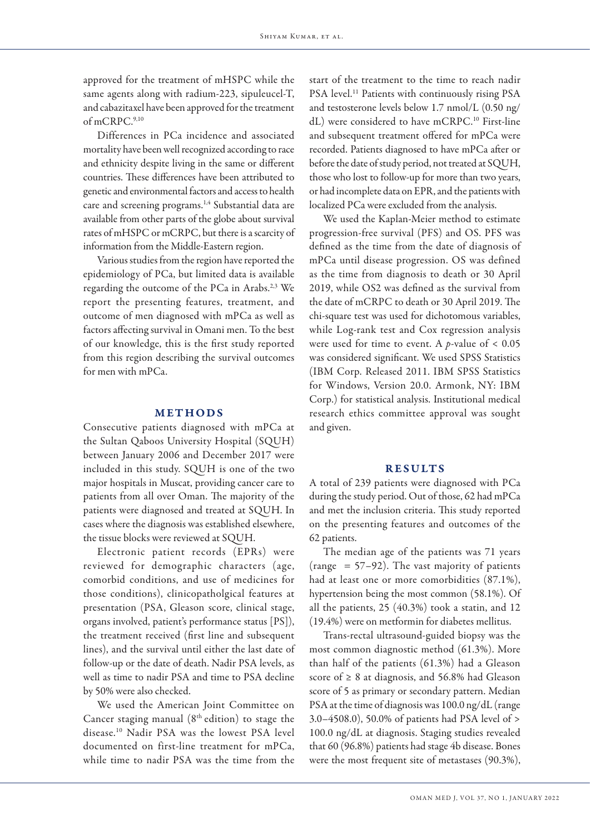approved for the treatment of mHSPC while the same agents along with radium-223, sipuleucel-T, and cabazitaxel have been approved for the treatment of mCRPC.9,10

Differences in PCa incidence and associated mortality have been well recognized according to race and ethnicity despite living in the same or different countries. These differences have been attributed to genetic and environmental factors and access to health care and screening programs.1,4 Substantial data are available from other parts of the globe about survival rates of mHSPC or mCRPC, but there is a scarcity of information from the Middle-Eastern region.

Various studies from the region have reported the epidemiology of PCa, but limited data is available regarding the outcome of the PCa in Arabs.2,3 We report the presenting features, treatment, and outcome of men diagnosed with mPCa as well as factors affecting survival in Omani men. To the best of our knowledge, this is the first study reported from this region describing the survival outcomes for men with mPCa.

## METHODS

Consecutive patients diagnosed with mPCa at the Sultan Qaboos University Hospital (SQUH) between January 2006 and December 2017 were included in this study. SQUH is one of the two major hospitals in Muscat, providing cancer care to patients from all over Oman. The majority of the patients were diagnosed and treated at SQUH. In cases where the diagnosis was established elsewhere, the tissue blocks were reviewed at SQUH.

Electronic patient records (EPRs) were reviewed for demographic characters (age, comorbid conditions, and use of medicines for those conditions), clinicopatholgical features at presentation (PSA, Gleason score, clinical stage, organs involved, patient's performance status [PS]), the treatment received (first line and subsequent lines), and the survival until either the last date of follow-up or the date of death. Nadir PSA levels, as well as time to nadir PSA and time to PSA decline by 50% were also checked.

We used the American Joint Committee on Cancer staging manual  $(8<sup>th</sup>$  edition) to stage the disease.10 Nadir PSA was the lowest PSA level documented on first-line treatment for mPCa, while time to nadir PSA was the time from the

start of the treatment to the time to reach nadir PSA level.<sup>11</sup> Patients with continuously rising PSA and testosterone levels below 1.7 nmol/L (0.50 ng/ dL) were considered to have mCRPC.10 First-line and subsequent treatment offered for mPCa were recorded. Patients diagnosed to have mPCa after or before the date of study period, not treated at SQUH, those who lost to follow-up for more than two years, or had incomplete data on EPR, and the patients with localized PCa were excluded from the analysis.

We used the Kaplan-Meier method to estimate progression-free survival (PFS) and OS. PFS was defined as the time from the date of diagnosis of mPCa until disease progression. OS was defined as the time from diagnosis to death or 30 April 2019, while OS2 was defined as the survival from the date of mCRPC to death or 30 April 2019. The chi-square test was used for dichotomous variables, while Log-rank test and Cox regression analysis were used for time to event. A *p*-value of < 0.05 was considered significant. We used SPSS Statistics (IBM Corp. Released 2011. IBM SPSS Statistics for Windows, Version 20.0. Armonk, NY: IBM Corp.) for statistical analysis. Institutional medical research ethics committee approval was sought and given.

## RESULTS

A total of 239 patients were diagnosed with PCa during the study period. Out of those, 62 had mPCa and met the inclusion criteria. This study reported on the presenting features and outcomes of the 62 patients.

The median age of the patients was 71 years (range  $= 57-92$ ). The vast majority of patients had at least one or more comorbidities (87.1%), hypertension being the most common (58.1%). Of all the patients, 25 (40.3%) took a statin, and 12 (19.4%) were on metformin for diabetes mellitus.

Trans-rectal ultrasound-guided biopsy was the most common diagnostic method (61.3%). More than half of the patients (61.3%) had a Gleason score of  $\geq 8$  at diagnosis, and 56.8% had Gleason score of 5 as primary or secondary pattern. Median PSA at the time of diagnosis was 100.0 ng/dL (range 3.0–4508.0), 50.0% of patients had PSA level of > 100.0 ng/dL at diagnosis. Staging studies revealed that 60 (96.8%) patients had stage 4b disease. Bones were the most frequent site of metastases (90.3%),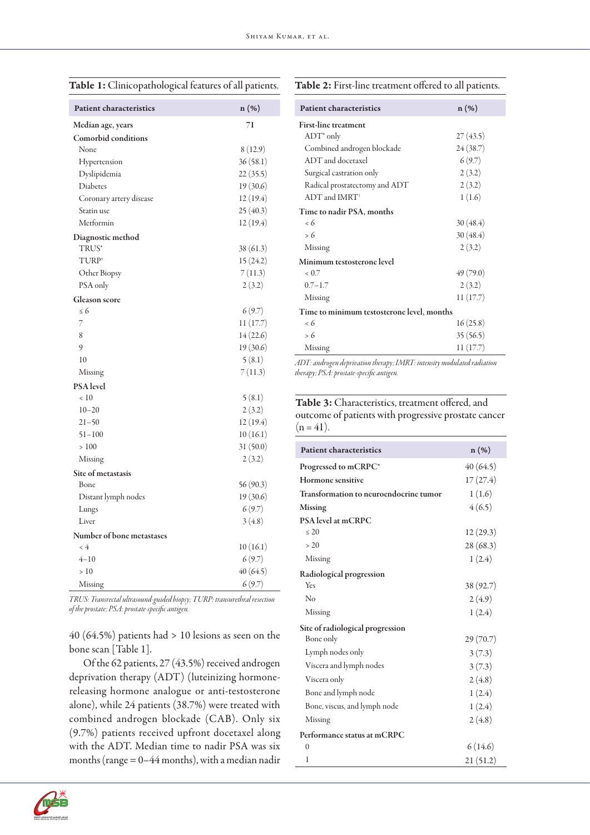## Table 1: Clinicopathological features of all patients.

## Table 2: First-line treatment offered to all patients.

| <b>Patient characteristics</b> | n (%)     |
|--------------------------------|-----------|
| Median age, years              | 71        |
| <b>Comorbid conditions</b>     |           |
| None                           | 8(12.9)   |
| Hypertension                   | 36(58.1)  |
| Dyslipidemia                   | 22(35.5)  |
| Diabetes                       | 19(30.6)  |
| Coronary artery disease        | 12(19.4)  |
| Statin use                     | 25(40.3)  |
| Metformin                      | 12(19.4)  |
| Diagnostic method              |           |
| TRUS*                          | 38(61.3)  |
| TURP <sup>#</sup>              | 15(24.2)  |
| Other Biopsy                   | 7(11.3)   |
| PSA only                       | 2(3.2)    |
| <b>Gleason</b> score           |           |
| $\leq 6$                       | 6(9.7)    |
| 7                              | 11(17.7)  |
| 8                              | 14(22.6)  |
| 9                              | 19 (30.6) |
| 10                             | 5(8.1)    |
| Missing                        | 7(11.3)   |
| PSA level                      |           |
| < 10                           | 5(8.1)    |
| $10 - 20$                      | 2(3.2)    |
| $21 - 50$                      | 12(19.4)  |
| $51 - 100$                     | 10(16.1)  |
| >100                           | 31(50.0)  |
| Missing                        | 2(3.2)    |
| Site of metastasis             |           |
| Bone                           | 56(90.3)  |
| Distant lymph nodes            | 19(30.6)  |
| Lungs                          | 6(9.7)    |
| Liver                          | 3(4.8)    |
| Number of bone metastases      |           |
| $\lt 4$                        | 10(16.1)  |
| $4 - 10$                       | 6(9.7)    |
| >10                            | 40(64.5)  |
| Missing                        | 6(9.7)    |

*TRUS: Transrectal ultrasound-guided biopsy; TURP: transurethral resection of the prostate; PSA: prostate-specific antigen.*

40 (64.5%) patients had > 10 lesions as seen on the bone scan [Table 1].

Of the 62 patients, 27 (43.5%) received androgen deprivation therapy (ADT) (luteinizing hormonereleasing hormone analogue or anti-testosterone alone), while 24 patients (38.7%) were treated with combined androgen blockade (CAB). Only six (9.7%) patients received upfront docetaxel along with the ADT. Median time to nadir PSA was six months (range = 0–44 months), with a median nadir

| <b>Patient characteristics</b>             | $n(\%)$  |  |  |  |  |
|--------------------------------------------|----------|--|--|--|--|
| <b>First-line treatment</b>                |          |  |  |  |  |
| $ADT^*$ only                               | 27(43.5) |  |  |  |  |
| Combined androgen blockade                 | 24(38.7) |  |  |  |  |
| ADT and docetaxel                          | 6(9.7)   |  |  |  |  |
| Surgical castration only                   | 2(3.2)   |  |  |  |  |
| Radical prostatectomy and ADT              | 2(3.2)   |  |  |  |  |
| $ADT$ and $IMRT^{\dagger}$                 | 1(1.6)   |  |  |  |  |
| Time to nadir PSA, months                  |          |  |  |  |  |
| $\epsilon$ 6                               | 30(48.4) |  |  |  |  |
| > 6                                        | 30(48.4) |  |  |  |  |
| Missing                                    | 2(3.2)   |  |  |  |  |
| Minimum testosterone level                 |          |  |  |  |  |
| < 0.7                                      | 49(79.0) |  |  |  |  |
| $0.7 - 1.7$                                | 2(3.2)   |  |  |  |  |
| Missing                                    | 11(17.7) |  |  |  |  |
| Time to minimum testosterone level, months |          |  |  |  |  |
| < 6                                        | 16(25.8) |  |  |  |  |
| > 6                                        | 35(56.5) |  |  |  |  |
| Missing                                    | 11(17.7) |  |  |  |  |

*ADT: androgen deprivation therapy; IMRT: intensity modulated radiation therapy; PSA: prostate-specific antigen.*

Table 3: Characteristics, treatment offered, and outcome of patients with progressive prostate cancer  $(n = 41)$ .

| <b>Patient characteristics</b>         | n (%)     |
|----------------------------------------|-----------|
| Progressed to mCRPC*                   | 40 (64.5) |
| Hormone sensitive                      | 17(27.4)  |
| Transformation to neuroendocrine tumor | 1(1.6)    |
| <b>Missing</b>                         | 4(6.5)    |
| <b>PSA</b> level at mCRPC<br>$\leq 20$ |           |
|                                        | 12(29.3)  |
| > 20                                   | 28 (68.3) |
| Missing                                | 1(2.4)    |
| Radiological progression               |           |
| Yes                                    | 38 (92.7) |
| No                                     | 2(4.9)    |
| Missing                                | 1(2.4)    |
| Site of radiological progression       |           |
| Bone only                              | 29(70.7)  |
| Lymph nodes only                       | 3(7.3)    |
| Viscera and lymph nodes                | 3(7.3)    |
| Viscera only                           | 2(4.8)    |
| Bone and lymph node                    | 1(2.4)    |
| Bone, viscus, and lymph node           | 1(2.4)    |
| Missing                                | 2(4.8)    |
| Performance status at mCRPC            |           |
| $\theta$                               | 6(14.6)   |
| 1                                      | 21 (51.2) |

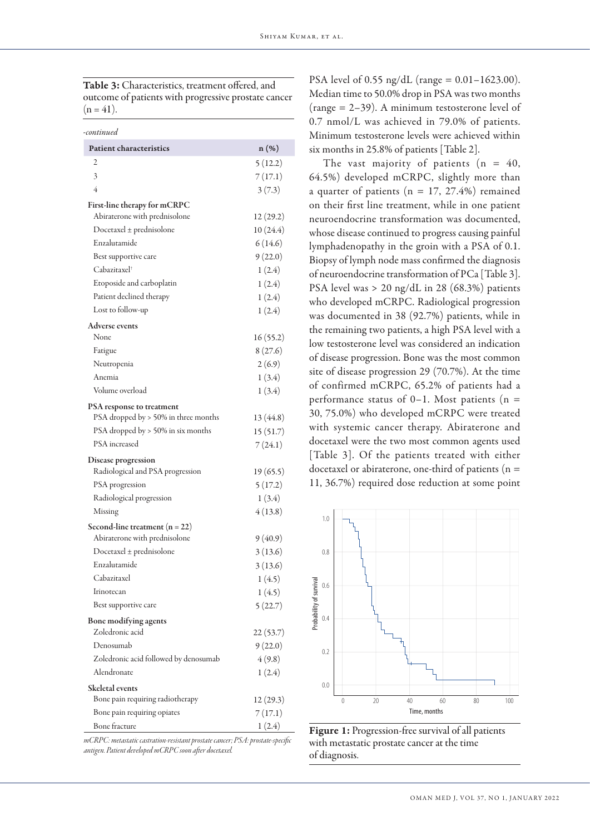Table 3: Characteristics, treatment offered, and outcome of patients with progressive prostate cancer  $(n = 41)$ .

| -continued                            |           |
|---------------------------------------|-----------|
| <b>Patient characteristics</b>        | $n(\%)$   |
| 2                                     | 5(12.2)   |
| 3                                     | 7(17.1)   |
| 4                                     | 3(7.3)    |
| First-line therapy for mCRPC          |           |
| Abiraterone with prednisolone         | 12(29.2)  |
| $Docetaxel \pm prednisolone$          | 10(24.4)  |
| Enzalutamide                          | 6(14.6)   |
| Best supportive care                  | 9(22.0)   |
| Cabazitaxel†                          | 1(2.4)    |
| Etoposide and carboplatin             | 1(2.4)    |
| Patient declined therapy              | 1(2.4)    |
| Lost to follow-up                     | 1(2.4)    |
| <b>Adverse events</b>                 |           |
| None                                  | 16(55.2)  |
| Fatigue                               | 8(27.6)   |
| Neutropenia                           | 2(6.9)    |
| Anemia                                | 1(3.4)    |
| Volume overload                       | 1(3.4)    |
| PSA response to treatment             |           |
| PSA dropped by > 50% in three months  | 13 (44.8) |
| PSA dropped by > 50% in six months    | 15(51.7)  |
| PSA increased                         | 7(24.1)   |
| Disease progression                   |           |
| Radiological and PSA progression      | 19(65.5)  |
| PSA progression                       | 5(17.2)   |
| Radiological progression              | 1(3.4)    |
| Missing                               | 4(13.8)   |
| Second-line treatment $(n = 22)$      |           |
| Abiraterone with prednisolone         | 9(40.9)   |
| $Docetaxel \pm prednisolone$          | 3(13.6)   |
| Enzalutamide                          | 3(13.6)   |
| Cabazitaxel                           | 1(4.5)    |
| Irinotecan                            | 1(4.5)    |
| Best supportive care                  | 5(22.7)   |
| Bone modifying agents                 |           |
| Zoledronic acid                       | 22(53.7)  |
| Denosumab                             | 9(22.0)   |
| Zoledronic acid followed by denosumab | 4(9.8)    |
| Alendronate                           | 1(2.4)    |
| Skeletal events                       |           |
| Bone pain requiring radiotherapy      | 12(29.3)  |
| Bone pain requiring opiates           | 7(17.1)   |
| Bone fracture                         | 1(2.4)    |

*mCRPC: metastatic castration-resistant prostate cancer; PSA: prostate-specific antigen. Patient developed mCRPC soon after docetaxel.*

PSA level of 0.55 ng/dL (range =  $0.01 - 1623.00$ ). Median time to 50.0% drop in PSA was two months (range = 2–39). A minimum testosterone level of 0.7 nmol/L was achieved in 79.0% of patients. Minimum testosterone levels were achieved within six months in 25.8% of patients [Table 2].

The vast majority of patients  $(n = 40,$ 64.5%) developed mCRPC, slightly more than a quarter of patients ( $n = 17, 27.4\%$ ) remained on their first line treatment, while in one patient neuroendocrine transformation was documented, whose disease continued to progress causing painful lymphadenopathy in the groin with a PSA of 0.1. Biopsy of lymph node mass confirmed the diagnosis of neuroendocrine transformation of PCa [Table 3]. PSA level was > 20 ng/dL in 28 (68.3%) patients who developed mCRPC. Radiological progression was documented in 38 (92.7%) patients, while in the remaining two patients, a high PSA level with a low testosterone level was considered an indication of disease progression. Bone was the most common site of disease progression 29 (70.7%). At the time of confirmed mCRPC, 65.2% of patients had a performance status of  $0-1$ . Most patients (n = 30, 75.0%) who developed mCRPC were treated with systemic cancer therapy. Abiraterone and docetaxel were the two most common agents used [Table 3]. Of the patients treated with either docetaxel or abiraterone, one-third of patients ( $n =$ 11, 36.7%) required dose reduction at some point



Figure 1: Progression-free survival of all patients with metastatic prostate cancer at the time of diagnosis.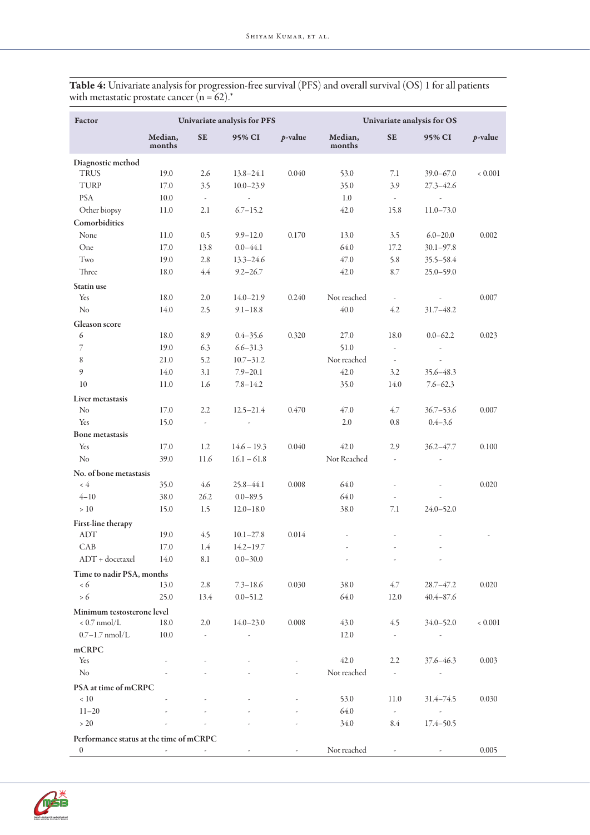| Factor                                  | Univariate analysis for PFS |                          |                          | Univariate analysis for OS |                   |                          |                          |            |
|-----------------------------------------|-----------------------------|--------------------------|--------------------------|----------------------------|-------------------|--------------------------|--------------------------|------------|
|                                         | Median,<br>months           | <b>SE</b>                | 95% CI                   | $p$ -value                 | Median,<br>months | <b>SE</b>                | 95% CI                   | $p$ -value |
| Diagnostic method                       |                             |                          |                          |                            |                   |                          |                          |            |
| <b>TRUS</b>                             | 19.0                        | 2.6                      | $13.8 - 24.1$            | 0.040                      | 53.0              | 7.1                      | $39.0 - 67.0$            | < 0.001    |
| TURP                                    | 17.0                        | 3.5                      | $10.0 - 23.9$            |                            | 35.0              | 3.9                      | $27.3 - 42.6$            |            |
| <b>PSA</b>                              | 10.0                        | $\omega$                 | $\omega$                 |                            | 1.0               | $\omega$ .               | ÷,                       |            |
| Other biopsy                            | 11.0                        | 2.1                      | $6.7 - 15.2$             |                            | 42.0              | 15.8                     | $11.0 - 73.0$            |            |
| Comorbidities                           |                             |                          |                          |                            |                   |                          |                          |            |
| None                                    | 11.0                        | 0.5                      | $9.9 - 12.0$             | 0.170                      | 13.0              | 3.5                      | $6.0 - 20.0$             | 0.002      |
| One                                     | 17.0                        | 13.8                     | $0.0 - 44.1$             |                            | 64.0              | 17.2                     | $30.1 - 97.8$            |            |
| Two                                     | 19.0                        | 2.8                      | $13.3 - 24.6$            |                            | 47.0              | 5.8                      | $35.5 - 58.4$            |            |
| Three                                   | 18.0                        | 4.4                      | $9.2 - 26.7$             |                            | 42.0              | 8.7                      | $25.0 - 59.0$            |            |
| Statin use                              |                             |                          |                          |                            |                   |                          |                          |            |
| Yes                                     | 18.0                        | 2.0                      | $14.0 - 21.9$            | 0.240                      | Not reached       | $\overline{\phantom{a}}$ | ä,                       | 0.007      |
| N <sub>o</sub>                          | 14.0                        | 2.5                      | $9.1 - 18.8$             |                            | 40.0              | 4.2                      | $31.7 - 48.2$            |            |
| <b>Gleason</b> score                    |                             |                          |                          |                            |                   |                          |                          |            |
| 6                                       | 18.0                        | 8.9                      | $0.4 - 35.6$             | 0.320                      | 27.0              | 18.0                     | $0.0 - 62.2$             | 0.023      |
| 7                                       | 19.0                        | 6.3                      | $6.6 - 31.3$             |                            | 51.0              | ä,                       | ä,                       |            |
| 8                                       | 21.0                        | 5.2                      | $10.7 - 31.2$            |                            | Not reached       | $\overline{\phantom{a}}$ | ä,                       |            |
| 9                                       | 14.0                        | 3.1                      | $7.9 - 20.1$             |                            | 42.0              | 3.2                      | 35.6 - 48.3              |            |
| 10                                      | 11.0                        | 1.6                      | $7.8 - 14.2$             |                            | 35.0              | 14.0                     | $7.6 - 62.3$             |            |
|                                         |                             |                          |                          |                            |                   |                          |                          |            |
| Liver metastasis                        |                             |                          |                          |                            |                   |                          |                          |            |
| No                                      | 17.0                        | 2.2                      | $12.5 - 21.4$            | 0.470                      | 47.0              | 4.7                      | $36.7 - 53.6$            | 0.007      |
| Yes                                     | 15.0                        | ä,                       | ÷,                       |                            | 2.0               | 0.8                      | $0.4 - 3.6$              |            |
| <b>Bone metastasis</b>                  |                             |                          |                          |                            |                   |                          |                          |            |
| Yes                                     | 17.0                        | 1.2                      | $14.6 - 19.3$            | 0.040                      | 42.0              | 2.9                      | $36.2 - 47.7$            | 0.100      |
| N <sub>o</sub>                          | 39.0                        | 11.6                     | $16.1 - 61.8$            |                            | Not Reached       | $\overline{\phantom{a}}$ |                          |            |
| No. of bone metastasis                  |                             |                          |                          |                            |                   |                          |                          |            |
| $\lt 4$                                 | 35.0                        | 4.6                      | $25.8 - 44.1$            | 0.008                      | 64.0              | ä,                       |                          | 0.020      |
| $4 - 10$                                | 38.0                        | 26.2                     | $0.0 - 89.5$             |                            | 64.0              | $\overline{\phantom{a}}$ |                          |            |
| >10                                     | 15.0                        | 1.5                      | $12.0 - 18.0$            |                            | 38.0              | 7.1                      | $24.0 - 52.0$            |            |
| First-line therapy                      |                             |                          |                          |                            |                   |                          |                          |            |
| ADT                                     | 19.0                        | 4.5                      | $10.1 - 27.8$            | 0.014                      |                   |                          |                          |            |
| CAB                                     | 17.0                        | 1.4                      | $14.2 - 19.7$            |                            | $\overline{a}$    | ä,                       | $\overline{\phantom{a}}$ |            |
| ADT + docetaxel                         | 14.0                        | 8.1                      | $0.0 - 30.0$             |                            |                   |                          |                          |            |
| Time to nadir PSA, months               |                             |                          |                          |                            |                   |                          |                          |            |
| < 6                                     | 13.0                        | 2.8                      | $7.3 - 18.6$             | 0.030                      | 38.0              | 4.7                      | $28.7 - 47.2$            | 0.020      |
| $> 6$                                   | 25.0                        | 13.4                     | $0.0 - 51.2$             |                            | 64.0              | 12.0                     | $40.4 - 87.6$            |            |
| Minimum testosterone level              |                             |                          |                          |                            |                   |                          |                          |            |
| $< 0.7$ nmol/L                          | 18.0                        | 2.0                      | $14.0 - 23.0$            | 0.008                      | 43.0              | 4.5                      | $34.0 - 52.0$            | < 0.001    |
| $0.7 - 1.7$ nmol/L                      | 10.0                        | $\overline{\phantom{a}}$ | $\overline{\phantom{a}}$ |                            | 12.0              | $\sim$                   | $\sim$                   |            |
| mCRPC                                   |                             |                          |                          |                            |                   |                          |                          |            |
| Yes                                     |                             |                          |                          |                            | 42.0              | 2.2                      | $37.6 - 46.3$            | 0.003      |
| N <sub>o</sub>                          |                             |                          |                          |                            | Not reached       | $\omega$                 | $\omega$                 |            |
| PSA at time of mCRPC                    |                             |                          |                          |                            |                   |                          |                          |            |
| ~10                                     |                             |                          |                          |                            | 53.0              | 11.0                     | $31.4 - 74.5$            | 0.030      |
| $11 - 20$                               |                             |                          |                          |                            | 64.0              | $\sim$                   | $\overline{\phantom{a}}$ |            |
| $>20$                                   |                             |                          |                          |                            | 34.0              | 8.4                      | $17.4 - 50.5$            |            |
| Performance status at the time of mCRPC |                             |                          |                          |                            |                   |                          |                          |            |

0 0 - - - - - - Not reached - 0.005

Table 4: Univariate analysis for progression-free survival (PFS) and overall survival (OS) 1 for all patients with metastatic prostate cancer (n = 62). $^*$ 

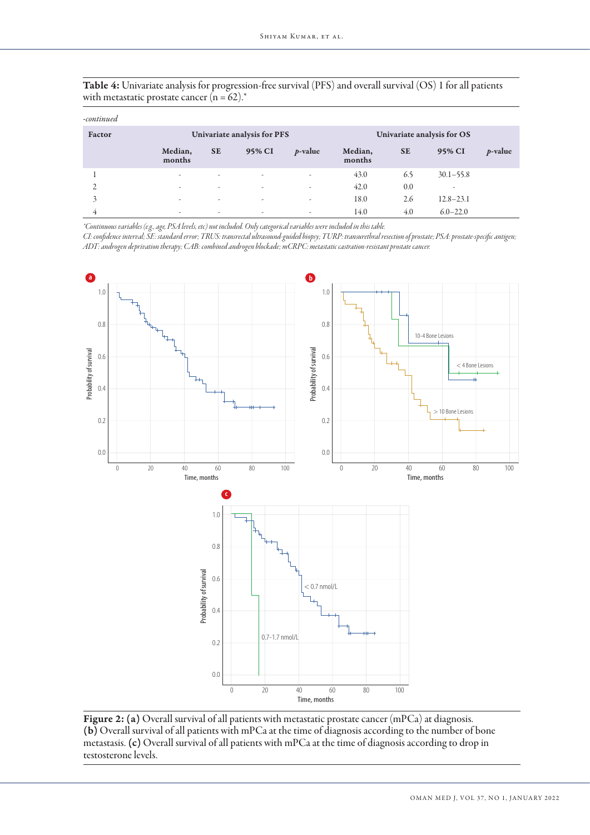| Table 4: Univariate analysis for progression-free survival (PFS) and overall survival (OS) 1 for all patients |  |  |
|---------------------------------------------------------------------------------------------------------------|--|--|
| with metastatic prostate cancer $(n = 62)^{*}$                                                                |  |  |

| -continued |                   |                             |        |            |                   |                            |               |            |  |
|------------|-------------------|-----------------------------|--------|------------|-------------------|----------------------------|---------------|------------|--|
| Factor     |                   | Univariate analysis for PFS |        |            |                   | Univariate analysis for OS |               |            |  |
|            | Median,<br>months | <b>SE</b>                   | 95% CI | $p$ -value | Median,<br>months | <b>SE</b>                  | 95% CI        | $p$ -value |  |
|            | ٠                 | $\sim$                      | ٠      |            | 43.0              | 6.5                        | $30.1 - 55.8$ |            |  |
|            | ٠                 | $\sim$                      | ٠      | ٠          | 42.0              | 0.0                        | ٠             |            |  |
|            | ٠                 | ٠                           | ٠      | ٠          | 18.0              | 2.6                        | $12.8 - 23.1$ |            |  |
| 4          | ٠                 | $\overline{\phantom{a}}$    | ۰      | ٠          | 14.0              | 4.0                        | $6.0 - 22.0$  |            |  |

*\*Continuous variables (e.g., age, PSA levels, etc) not included. Only categorical variables were included in this table.*

*CI: confidence interval; SE: standard error; TRUS: transrectal ultrasound-guided biopsy; TURP: transurethral resection of prostate; PSA: prostate-specific antigen; ADT: androgen deprivation therapy; CAB: combined androgen blockade; mCRPC: metastatic castration-resistant prostate cancer.* 



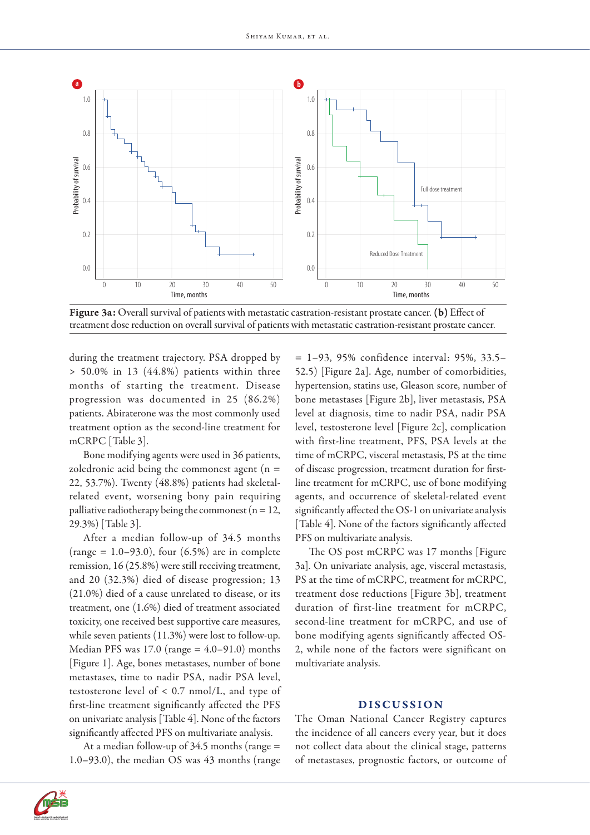

Figure 3a: Overall survival of patients with metastatic castration-resistant prostate cancer. (b) Effect of treatment dose reduction on overall survival of patients with metastatic castration-resistant prostate cancer.

during the treatment trajectory. PSA dropped by > 50.0% in 13 (44.8%) patients within three months of starting the treatment. Disease progression was documented in 25 (86.2%) patients. Abiraterone was the most commonly used treatment option as the second-line treatment for mCRPC [Table 3].

Bone modifying agents were used in 36 patients, zoledronic acid being the commonest agent  $(n =$ 22, 53.7%). Twenty (48.8%) patients had skeletalrelated event, worsening bony pain requiring palliative radiotherapy being the commonest ( $n = 12$ , 29.3%) [Table 3].

After a median follow-up of 34.5 months  $(range = 1.0 - 93.0), four (6.5%) are in complete$ remission, 16 (25.8%) were still receiving treatment, and 20 (32.3%) died of disease progression; 13 (21.0%) died of a cause unrelated to disease, or its treatment, one (1.6%) died of treatment associated toxicity, one received best supportive care measures, while seven patients (11.3%) were lost to follow-up. Median PFS was  $17.0$  (range =  $4.0-91.0$ ) months [Figure 1]. Age, bones metastases, number of bone metastases, time to nadir PSA, nadir PSA level, testosterone level of < 0.7 nmol/L, and type of first-line treatment significantly affected the PFS on univariate analysis [Table 4]. None of the factors significantly affected PFS on multivariate analysis.

At a median follow-up of 34.5 months (range = 1.0–93.0), the median OS was 43 months (range = 1–93, 95% confidence interval: 95%, 33.5– 52.5) [Figure 2a]. Age, number of comorbidities, hypertension, statins use, Gleason score, number of bone metastases [Figure 2b], liver metastasis, PSA level at diagnosis, time to nadir PSA, nadir PSA level, testosterone level [Figure 2c], complication with first-line treatment, PFS, PSA levels at the time of mCRPC, visceral metastasis, PS at the time of disease progression, treatment duration for firstline treatment for mCRPC, use of bone modifying agents, and occurrence of skeletal-related event significantly affected the OS-1 on univariate analysis [Table 4]. None of the factors significantly affected PFS on multivariate analysis.

The OS post mCRPC was 17 months [Figure 3a]. On univariate analysis, age, visceral metastasis, PS at the time of mCRPC, treatment for mCRPC, treatment dose reductions [Figure 3b], treatment duration of first-line treatment for mCRPC, second-line treatment for mCRPC, and use of bone modifying agents significantly affected OS-2, while none of the factors were significant on multivariate analysis.

## DISCUSSION

The Oman National Cancer Registry captures the incidence of all cancers every year, but it does not collect data about the clinical stage, patterns of metastases, prognostic factors, or outcome of

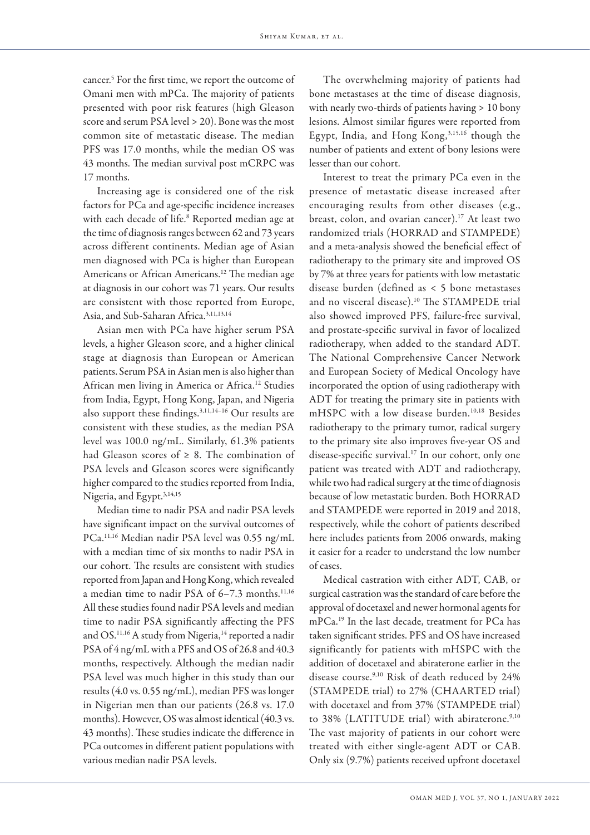cancer.5 For the first time, we report the outcome of Omani men with mPCa. The majority of patients presented with poor risk features (high Gleason score and serum PSA level > 20). Bone was the most common site of metastatic disease. The median PFS was 17.0 months, while the median OS was 43 months. The median survival post mCRPC was 17 months.

Increasing age is considered one of the risk factors for PCa and age-specific incidence increases with each decade of life.<sup>8</sup> Reported median age at the time of diagnosis ranges between 62 and 73 years across different continents. Median age of Asian men diagnosed with PCa is higher than European Americans or African Americans.<sup>12</sup> The median age at diagnosis in our cohort was 71 years. Our results are consistent with those reported from Europe, Asia, and Sub-Saharan Africa.3,11,13,14

Asian men with PCa have higher serum PSA levels, a higher Gleason score, and a higher clinical stage at diagnosis than European or American patients. Serum PSA in Asian men is also higher than African men living in America or Africa.12 Studies from India, Egypt, Hong Kong, Japan, and Nigeria also support these findings.3,11,14–16 Our results are consistent with these studies, as the median PSA level was 100.0 ng/mL. Similarly, 61.3% patients had Gleason scores of  $\geq 8$ . The combination of PSA levels and Gleason scores were significantly higher compared to the studies reported from India, Nigeria, and Egypt.3,14,15

Median time to nadir PSA and nadir PSA levels have significant impact on the survival outcomes of PCa.11,16 Median nadir PSA level was 0.55 ng/mL with a median time of six months to nadir PSA in our cohort. The results are consistent with studies reported from Japan and Hong Kong, which revealed a median time to nadir PSA of  $6-7.3$  months.<sup>11,16</sup> All these studies found nadir PSA levels and median time to nadir PSA significantly affecting the PFS and OS.<sup>11,16</sup> A study from Nigeria,<sup>14</sup> reported a nadir PSA of 4 ng/mL with a PFS and OS of 26.8 and 40.3 months, respectively. Although the median nadir PSA level was much higher in this study than our results (4.0 vs. 0.55 ng/mL), median PFS was longer in Nigerian men than our patients (26.8 vs. 17.0 months). However, OS was almost identical (40.3 vs. 43 months). These studies indicate the difference in PCa outcomes in different patient populations with various median nadir PSA levels.

The overwhelming majority of patients had bone metastases at the time of disease diagnosis, with nearly two-thirds of patients having > 10 bony lesions. Almost similar figures were reported from Egypt, India, and Hong Kong,3,15,16 though the number of patients and extent of bony lesions were lesser than our cohort.

Interest to treat the primary PCa even in the presence of metastatic disease increased after encouraging results from other diseases (e.g., breast, colon, and ovarian cancer).<sup>17</sup> At least two randomized trials (HORRAD and STAMPEDE) and a meta-analysis showed the beneficial effect of radiotherapy to the primary site and improved OS by 7% at three years for patients with low metastatic disease burden (defined as < 5 bone metastases and no visceral disease).10 The STAMPEDE trial also showed improved PFS, failure-free survival, and prostate-specific survival in favor of localized radiotherapy, when added to the standard ADT. The National Comprehensive Cancer Network and European Society of Medical Oncology have incorporated the option of using radiotherapy with ADT for treating the primary site in patients with mHSPC with a low disease burden.10,18 Besides radiotherapy to the primary tumor, radical surgery to the primary site also improves five-year OS and disease-specific survival.17 In our cohort, only one patient was treated with ADT and radiotherapy, while two had radical surgery at the time of diagnosis because of low metastatic burden. Both HORRAD and STAMPEDE were reported in 2019 and 2018, respectively, while the cohort of patients described here includes patients from 2006 onwards, making it easier for a reader to understand the low number of cases.

Medical castration with either ADT, CAB, or surgical castration was the standard of care before the approval of docetaxel and newer hormonal agents for mPCa.19 In the last decade, treatment for PCa has taken significant strides. PFS and OS have increased significantly for patients with mHSPC with the addition of docetaxel and abiraterone earlier in the disease course.<sup>9,10</sup> Risk of death reduced by 24% (STAMPEDE trial) to 27% (CHAARTED trial) with docetaxel and from 37% (STAMPEDE trial) to 38% (LATITUDE trial) with abiraterone.<sup>9,10</sup> The vast majority of patients in our cohort were treated with either single-agent ADT or CAB. Only six (9.7%) patients received upfront docetaxel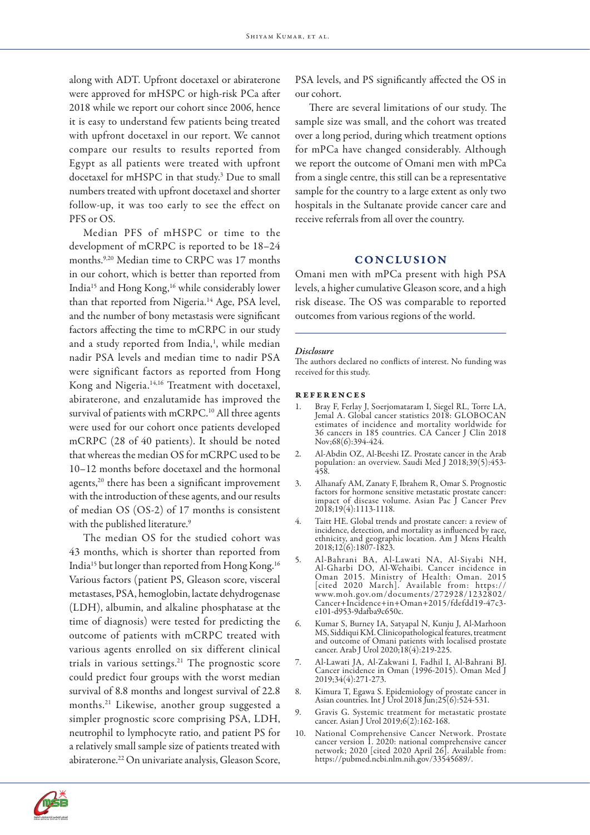along with ADT. Upfront docetaxel or abiraterone were approved for mHSPC or high-risk PCa after 2018 while we report our cohort since 2006, hence it is easy to understand few patients being treated with upfront docetaxel in our report. We cannot compare our results to results reported from Egypt as all patients were treated with upfront docetaxel for mHSPC in that study.<sup>3</sup> Due to small numbers treated with upfront docetaxel and shorter follow-up, it was too early to see the effect on PFS or OS.

Median PFS of mHSPC or time to the development of mCRPC is reported to be 18–24 months.9,20 Median time to CRPC was 17 months in our cohort, which is better than reported from India15 and Hong Kong,16 while considerably lower than that reported from Nigeria.<sup>14</sup> Age, PSA level, and the number of bony metastasis were significant factors affecting the time to mCRPC in our study and a study reported from India,<sup>1</sup>, while median nadir PSA levels and median time to nadir PSA were significant factors as reported from Hong Kong and Nigeria.14,16 Treatment with docetaxel, abiraterone, and enzalutamide has improved the survival of patients with mCRPC.<sup>10</sup> All three agents were used for our cohort once patients developed mCRPC (28 of 40 patients). It should be noted that whereas the median OS for mCRPC used to be 10–12 months before docetaxel and the hormonal agents,<sup>20</sup> there has been a significant improvement with the introduction of these agents, and our results of median OS (OS-2) of 17 months is consistent with the published literature.<sup>9</sup>

The median OS for the studied cohort was 43 months, which is shorter than reported from India15 but longer than reported from Hong Kong.16 Various factors (patient PS, Gleason score, visceral metastases, PSA, hemoglobin, lactate dehydrogenase (LDH), albumin, and alkaline phosphatase at the time of diagnosis) were tested for predicting the outcome of patients with mCRPC treated with various agents enrolled on six different clinical trials in various settings.<sup>21</sup> The prognostic score could predict four groups with the worst median survival of 8.8 months and longest survival of 22.8 months.21 Likewise, another group suggested a simpler prognostic score comprising PSA, LDH, neutrophil to lymphocyte ratio, and patient PS for a relatively small sample size of patients treated with abiraterone.22 On univariate analysis, Gleason Score, PSA levels, and PS significantly affected the OS in our cohort.

There are several limitations of our study. The sample size was small, and the cohort was treated over a long period, during which treatment options for mPCa have changed considerably. Although we report the outcome of Omani men with mPCa from a single centre, this still can be a representative sample for the country to a large extent as only two hospitals in the Sultanate provide cancer care and receive referrals from all over the country.

# **CONCLUSION**

Omani men with mPCa present with high PSA levels, a higher cumulative Gleason score, and a high risk disease. The OS was comparable to reported outcomes from various regions of the world.

## *Disclosure*

The authors declared no conflicts of interest. No funding was received for this study.

#### **REFERENCES**

- 1. Bray F, Ferlay J, Soerjomataram I, Siegel RL, Torre LA, Jemal A. Global cancer statistics 2018: GLOBOCAN estimates of incidence and mortality worldwide for 36 cancers in 185 countries. CA Cancer J Clin 2018 Nov;68(6):394-424.
- 2. Al-Abdin OZ, Al-Beeshi IZ. Prostate cancer in the Arab population: an overview. Saudi Med J 2018;39(5):453- 458.
- 3. Alhanafy AM, Zanaty F, Ibrahem R, Omar S. Prognostic factors for hormone sensitive metastatic prostate cancer: impact of disease volume. Asian Pac J Cancer Prev 2018;19(4):1113-1118.
- 4. Taitt HE. Global trends and prostate cancer: a review of incidence, detection, and mortality as influenced by race, ethnicity, and geographic location. Am J Mens Health 2018;12(6):1807-1823.
- 5. Al-Bahrani BA, Al-Lawati NA, Al-Siyabi NH, Al-Gharbi DO, Al-Wehaibi. Cancer incidence in Oman 2015. Ministry of Health: Oman. 2015 [cited 2020 March]. Available from: https:// www.moh.gov.om/documents/272928/1232802/ Cancer+Incidence+in+Oman+2015/fdefdd19-47c3 e101-d953-9dafba9c650c.
- 6. Kumar S, Burney IA, Satyapal N, Kunju J, Al-Marhoon MS, Siddiqui KM. Clinicopathological features, treatment and outcome of Omani patients with localised prostate cancer. Arab J Urol 2020;18(4):219-225.
- 7. Al-Lawati JA, Al-Zakwani I, Fadhil I, Al-Bahrani BJ. Cancer incidence in Oman (1996-2015). Oman Med J 2019;34(4):271-273.
- 8. Kimura T, Egawa S. Epidemiology of prostate cancer in Asian countries. Int J Urol 2018 Jun;25(6):524-531.
- 9. Gravis G. Systemic treatment for metastatic prostate cancer. Asian J Urol 2019;6(2):162-168.
- 10. National Comprehensive Cancer Network. Prostate cancer version 1. 2020: national comprehensive cancer network; 2020 [cited 2020 April 26]. Available from: https://pubmed.ncbi.nlm.nih.gov/33545689/.